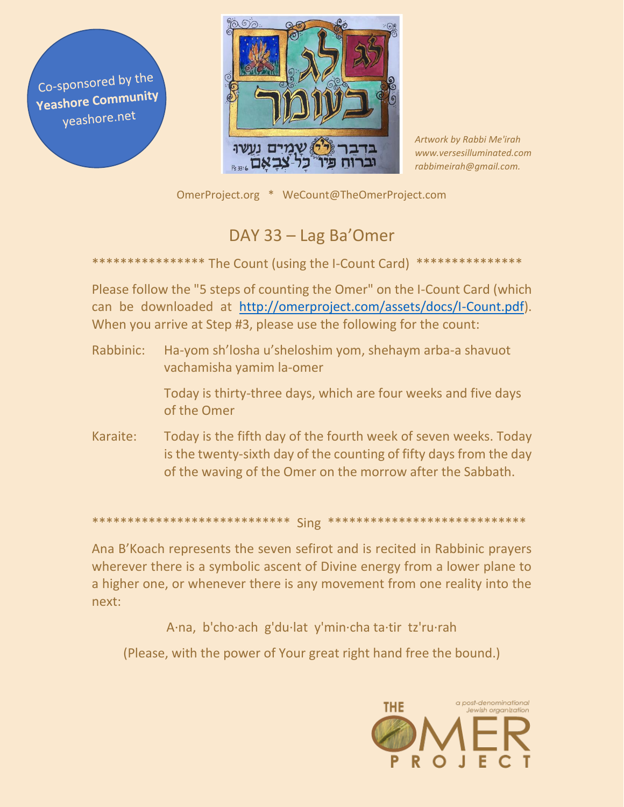Co-sponsored by the **Yeashore Community** yeashore.net



Artwork by Rabbi Me'irah www.versesilluminated.com rabbimeirah@gmail.com.

OmerProject.org \* WeCount@TheOmerProject.com

## DAY 33 - Lag Ba'Omer

## The Count (using the I-Count Card)

Please follow the "5 steps of counting the Omer" on the I-Count Card (which can be downloaded at http://omerproject.com/assets/docs/I-Count.pdf). When you arrive at Step #3, please use the following for the count:

Rabbinic: Ha-yom sh'losha u'sheloshim yom, shehaym arba-a shavuot vachamisha yamim la-omer

> Today is thirty-three days, which are four weeks and five days of the Omer

Karaite: Today is the fifth day of the fourth week of seven weeks. Today is the twenty-sixth day of the counting of fifty days from the day of the waving of the Omer on the morrow after the Sabbath.

\*\*\*\*\*\*\*\*\*\*\*\*\*\*\*\*\*\*\*\*\*\*\*\*\*\*\*\*\*\* Sing \* \*\*\*\*\*\*\*\*\*\*\*\*\*\*\*\*\*\*\*\*\*\*

Ana B'Koach represents the seven sefirot and is recited in Rabbinic prayers wherever there is a symbolic ascent of Divine energy from a lower plane to a higher one, or whenever there is any movement from one reality into the next:

A·na, b'cho·ach g'du·lat y'min·cha ta·tir tz'ru·rah

(Please, with the power of Your great right hand free the bound.)

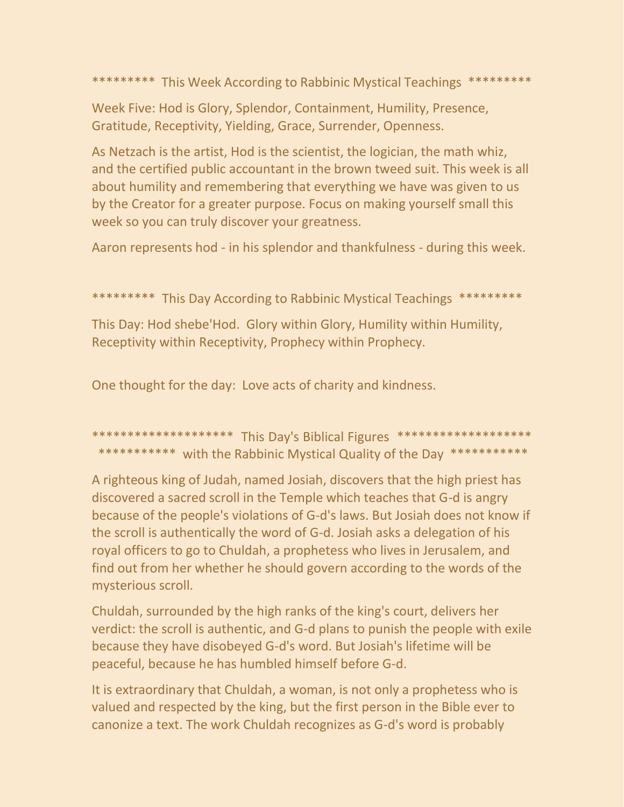\*\*\*\*\*\*\*\*\* This Week According to Rabbinic Mystical Teachings \*\*\*\*\*\*\*\*\*

Week Five: Hod is Glory, Splendor, Containment, Humility, Presence, Gratitude, Receptivity, Yielding, Grace, Surrender, Openness.

As Netzach is the artist, Hod is the scientist, the logician, the math whiz, and the certified public accountant in the brown tweed suit. This week is all about humility and remembering that everything we have was given to us by the Creator for a greater purpose. Focus on making yourself small this week so you can truly discover your greatness.

Aaron represents hod - in his splendor and thankfulness - during this week.

\*\*\*\*\*\*\*\*\* This Day According to Rabbinic Mystical Teachings \*\*\*\*\*\*\*\*\*

This Day: Hod shebe'Hod. Glory within Glory, Humility within Humility, Receptivity within Receptivity, Prophecy within Prophecy.

One thought for the day: Love acts of charity and kindness.

\*\*\*\*\*\*\*\*\*\*\*\*\*\*\*\*\*\*\*\* This Day's Biblical Figures \*\*\*\*\*\*\*\*\*\*\*\*\*\*\*\*\*\*\*\* \*\*\*\*\*\*\*\*\*\*\* with the Rabbinic Mystical Quality of the Day \*\*\*\*\*\*\*\*\*\*\*

A righteous king of Judah, named Josiah, discovers that the high priest has discovered a sacred scroll in the Temple which teaches that G-d is angry because of the people's violations of G-d's laws. But Josiah does not know if the scroll is authentically the word of G-d. Josiah asks a delegation of his royal officers to go to Chuldah, a prophetess who lives in Jerusalem, and find out from her whether he should govern according to the words of the mysterious scroll.

Chuldah, surrounded by the high ranks of the king's court, delivers her verdict: the scroll is authentic, and G-d plans to punish the people with exile because they have disobeyed G-d's word. But Josiah's lifetime will be peaceful, because he has humbled himself before G-d.

It is extraordinary that Chuldah, a woman, is not only a prophetess who is valued and respected by the king, but the first person in the Bible ever to canonize a text. The work Chuldah recognizes as G-d's word is probably